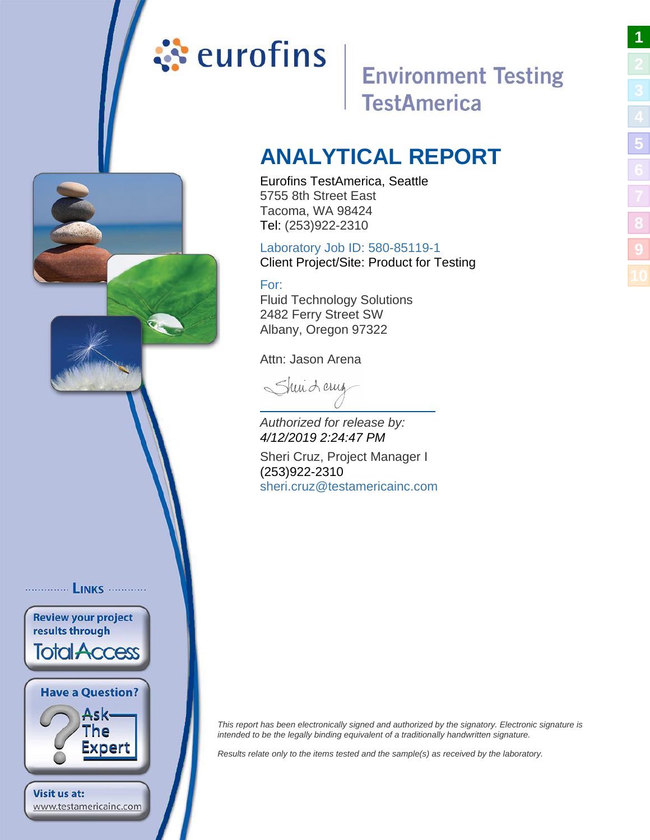# <span id="page-0-0"></span>ं**:** eurofins

# **Environment Testing TestAmerica**

**[1](#page-0-0)**

**[5](#page-4-0)**

**[8](#page-12-0)**

**[9](#page-13-0)**

# **ANALYTICAL REPORT**

## Eurofins TestAmerica, Seattle 5755 8th Street East Tacoma, WA 98424 Tel: (253)922-2310

# Laboratory Job ID: 580-85119-1

Client Project/Site: Product for Testing

# For:

............... LINKS ............

**Review your project** results through

**Total Access** 

**Have a Question?** 

www.testamericainc.com

**Visit us at:** 

Ask-The Expert Fluid Technology Solutions 2482 Ferry Street SW Albany, Oregon 97322

Attn: Jason Arena

Sheri Lerua

Authorized for release by: 4/12/2019 2:24:47 PM

Sheri Cruz, Project Manager I (253)922-2310 [sheri.cruz@testamericainc.c](mailto:sheri.cruz@testamericainc.com)om

This report has been electronically signed and authorized by the signatory. Electronic signature is intended to be the legally binding equivalent of a traditionally handwritten signature.

Results relate only to the items tested and the sample(s) as received by the laboratory.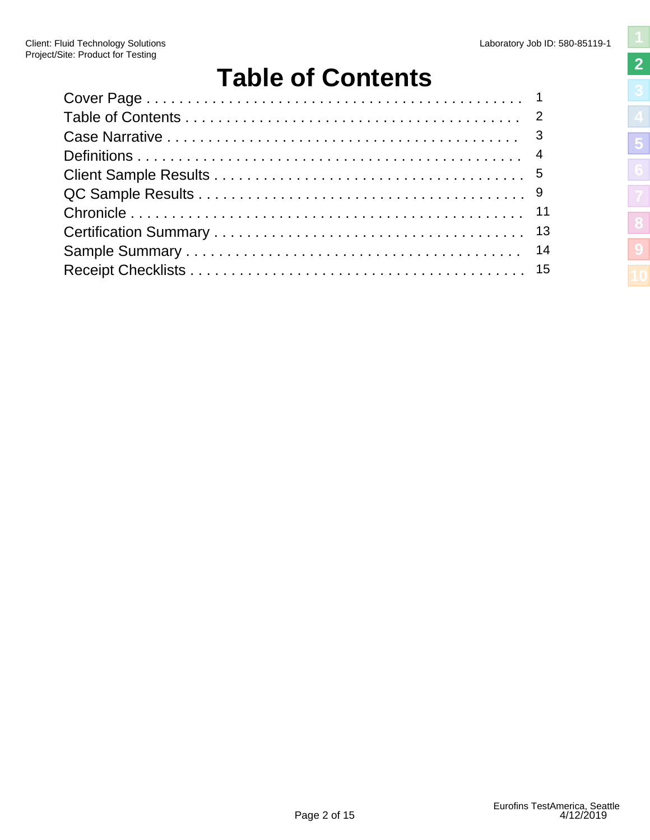# **Table of Contents**

<span id="page-1-0"></span>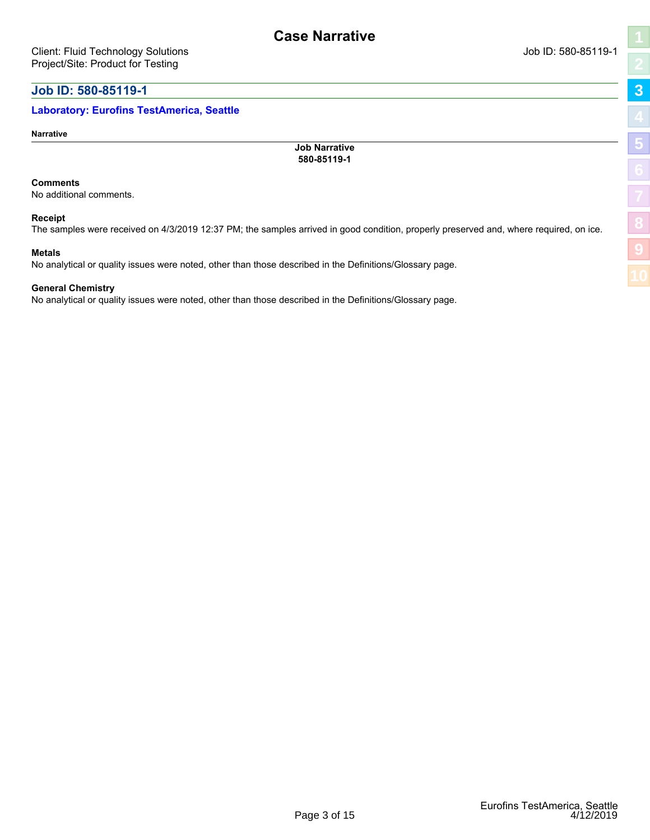### <span id="page-2-0"></span>**Laboratory: Eurofins TestAmerica, Seattle**

**Narrative**

**Job Narrative 580-85119-1**

**Case Narrative**

#### **Comments**

No additional comments.

#### **Receipt**

The samples were received on 4/3/2019 12:37 PM; the samples arrived in good condition, properly preserved and, where required, on ice.

#### **Metals**

No analytical or quality issues were noted, other than those described in the Definitions/Glossary page.

#### **General Chemistry**

No analytical or quality issues were noted, other than those described in the Definitions/Glossary page.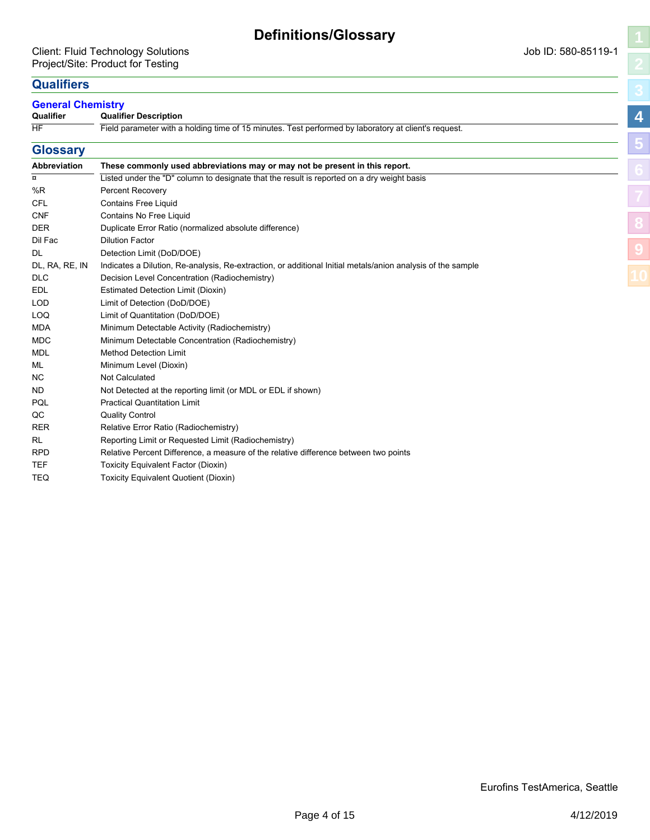# <span id="page-3-0"></span>**Qualifiers**

#### **General Chemistry Qualifier Description**

| General Gremistry<br>Qualifier | <b>Qualifier Description</b>                                                                                | 4 |
|--------------------------------|-------------------------------------------------------------------------------------------------------------|---|
| <b>HF</b>                      | Field parameter with a holding time of 15 minutes. Test performed by laboratory at client's request.        |   |
| <b>Glossary</b>                |                                                                                                             | b |
| <b>Abbreviation</b>            | These commonly used abbreviations may or may not be present in this report.                                 |   |
| $\alpha$                       | Listed under the "D" column to designate that the result is reported on a dry weight basis                  |   |
| %R                             | <b>Percent Recovery</b>                                                                                     |   |
| CFL                            | <b>Contains Free Liquid</b>                                                                                 |   |
| <b>CNF</b>                     | Contains No Free Liquid                                                                                     |   |
| <b>DER</b>                     | Duplicate Error Ratio (normalized absolute difference)                                                      |   |
| Dil Fac                        | <b>Dilution Factor</b>                                                                                      |   |
| DL                             | Detection Limit (DoD/DOE)                                                                                   |   |
| DL, RA, RE, IN                 | Indicates a Dilution, Re-analysis, Re-extraction, or additional Initial metals/anion analysis of the sample |   |
| <b>DLC</b>                     | Decision Level Concentration (Radiochemistry)                                                               |   |
| <b>EDL</b>                     | Estimated Detection Limit (Dioxin)                                                                          |   |
| <b>LOD</b>                     | Limit of Detection (DoD/DOE)                                                                                |   |
| <b>LOQ</b>                     | Limit of Quantitation (DoD/DOE)                                                                             |   |
| <b>MDA</b>                     | Minimum Detectable Activity (Radiochemistry)                                                                |   |
| <b>MDC</b>                     | Minimum Detectable Concentration (Radiochemistry)                                                           |   |
| <b>MDL</b>                     | <b>Method Detection Limit</b>                                                                               |   |
| ML                             | Minimum Level (Dioxin)                                                                                      |   |
| NC.                            | <b>Not Calculated</b>                                                                                       |   |
| <b>ND</b>                      | Not Detected at the reporting limit (or MDL or EDL if shown)                                                |   |
| PQL                            | <b>Practical Quantitation Limit</b>                                                                         |   |
| QC                             | <b>Quality Control</b>                                                                                      |   |
| <b>RER</b>                     | Relative Error Ratio (Radiochemistry)                                                                       |   |

RL Reporting Limit or Requested Limit (Radiochemistry)

RPD Relative Percent Difference, a measure of the relative difference between two points

- TEF Toxicity Equivalent Factor (Dioxin)
- TEQ Toxicity Equivalent Quotient (Dioxin)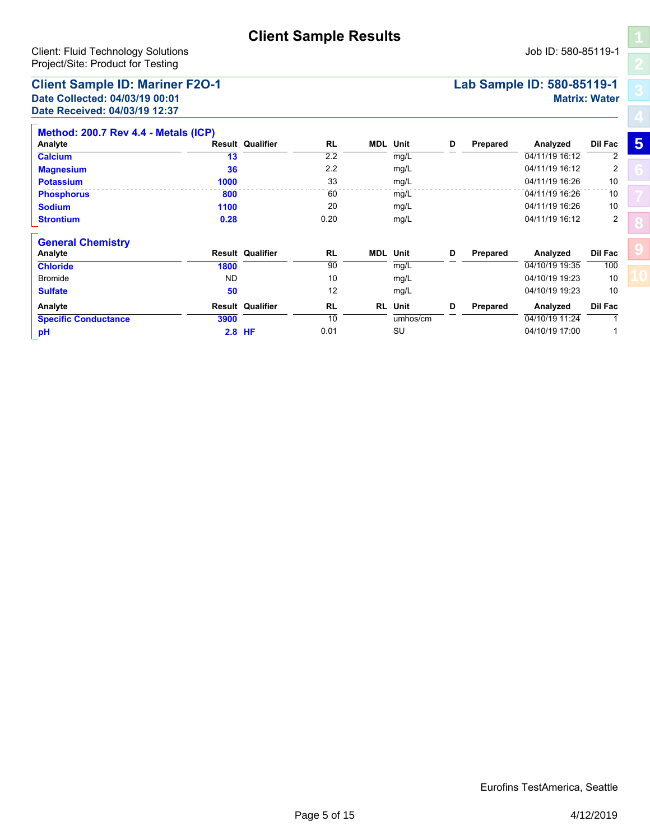### <span id="page-4-0"></span>**Client Sample ID: Mariner F2O-1 Lab Sample ID: 580-85119-1 Date Collected: 04/03/19 00:01 Matrix: Water Date Received: 04/03/19 12:37**

|  | Job ID: 580-85119-1 |  |
|--|---------------------|--|
|  |                     |  |

| Method: 200.7 Rev 4.4 - Metals (ICP) |      |                         |           |            |          |   |          |                |                |   |
|--------------------------------------|------|-------------------------|-----------|------------|----------|---|----------|----------------|----------------|---|
| Analyte                              |      | <b>Result Qualifier</b> | <b>RL</b> | MDL        | Unit     | D | Prepared | Analyzed       | Dil Fac        | 5 |
| <b>Calcium</b>                       | 13   |                         | 2.2       |            | mg/L     |   |          | 04/11/19 16:12 | 2              |   |
| <b>Magnesium</b>                     | 36   |                         | 2.2       |            | mg/L     |   |          | 04/11/19 16:12 | 2              |   |
| <b>Potassium</b>                     | 1000 |                         | 33        |            | mg/L     |   |          | 04/11/19 16:26 | 10             |   |
| <b>Phosphorus</b>                    | 800  |                         | 60        |            | mg/L     |   |          | 04/11/19 16:26 | 10             |   |
| <b>Sodium</b>                        | 1100 |                         | 20        |            | mg/L     |   |          | 04/11/19 16:26 | 10             |   |
| <b>Strontium</b>                     | 0.28 |                         | 0.20      |            | mg/L     |   |          | 04/11/19 16:12 | $\overline{2}$ |   |
| <b>General Chemistry</b>             |      |                         |           |            |          |   |          |                |                |   |
| Analyte                              |      | <b>Result Qualifier</b> | <b>RL</b> | <b>MDL</b> | Unit     | D | Prepared | Analyzed       | Dil Fac        |   |
| <b>Chloride</b>                      | 1800 |                         | 90        |            | mg/L     |   |          | 04/10/19 19:35 | 100            |   |
| <b>Bromide</b>                       | ND.  |                         | 10        |            | mg/L     |   |          | 04/10/19 19:23 | 10             |   |
| <b>Sulfate</b>                       | 50   |                         | 12        |            | mg/L     |   |          | 04/10/19 19:23 | 10             |   |
| Analyte                              |      | <b>Result Qualifier</b> | RL        | RL         | Unit     | D | Prepared | Analyzed       | Dil Fac        |   |
| <b>Specific Conductance</b>          | 3900 |                         | 10        |            | umhos/cm |   |          | 04/10/19 11:24 |                |   |
| pH                                   |      | $2.8$ HF                | 0.01      |            | SU       |   |          | 04/10/19 17:00 |                |   |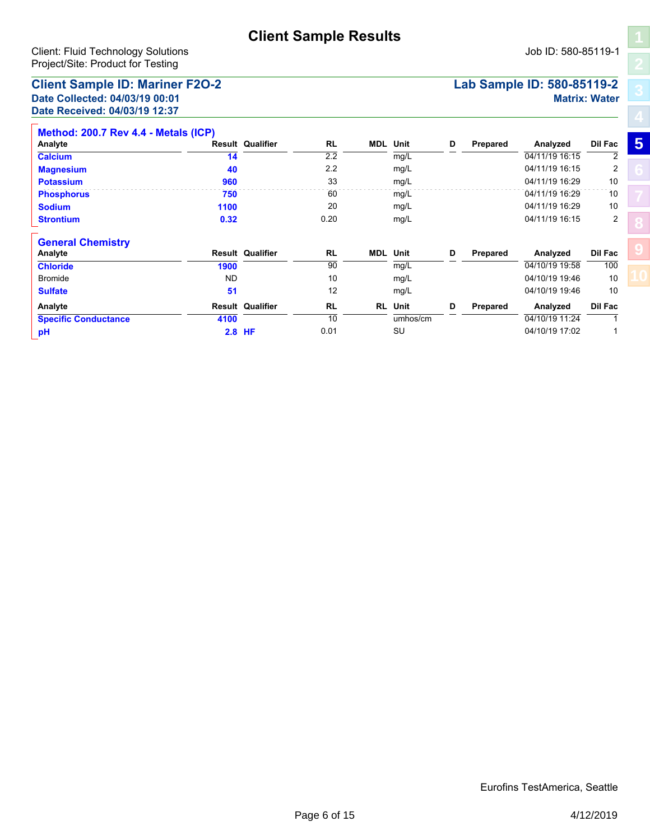### **Client Sample ID: Mariner F2O-2 Lab Sample ID: 580-85119-2 Date Collected: 04/03/19 00:01 Matrix: Water Date Received: 04/03/19 12:37**

|  | Job ID: 580-85119-1 |  |
|--|---------------------|--|

| Method: 200.7 Rev 4.4 - Metals (ICP) |           |                         |           |     |          |   |          |                |         |   |
|--------------------------------------|-----------|-------------------------|-----------|-----|----------|---|----------|----------------|---------|---|
| Analyte                              |           | <b>Result Qualifier</b> | RL        | MDL | Unit     | D | Prepared | Analyzed       | Dil Fac | 5 |
| <b>Calcium</b>                       | 14        |                         | 2.2       |     | mg/L     |   |          | 04/11/19 16:15 | 2       |   |
| <b>Magnesium</b>                     | 40        |                         | 2.2       |     | mg/L     |   |          | 04/11/19 16:15 | 2       |   |
| <b>Potassium</b>                     | 960       |                         | 33        |     | mg/L     |   |          | 04/11/19 16:29 | 10      |   |
| <b>Phosphorus</b>                    | 750       |                         | 60        |     | mg/L     |   |          | 04/11/19 16:29 | 10      |   |
| <b>Sodium</b>                        | 1100      |                         | 20        |     | mg/L     |   |          | 04/11/19 16:29 | 10      |   |
| <b>Strontium</b>                     | 0.32      |                         | 0.20      |     | mg/L     |   |          | 04/11/19 16:15 | 2       |   |
| <b>General Chemistry</b>             |           |                         |           |     |          |   |          |                |         |   |
| Analyte                              |           | <b>Result Qualifier</b> | RL        | MDL | Unit     | D | Prepared | Analyzed       | Dil Fac |   |
| <b>Chloride</b>                      | 1900      |                         | 90        |     | mg/L     |   |          | 04/10/19 19:58 | 100     |   |
| <b>Bromide</b>                       | <b>ND</b> |                         | 10        |     | mg/L     |   |          | 04/10/19 19:46 | 10      |   |
| <b>Sulfate</b>                       | 51        |                         | 12        |     | mg/L     |   |          | 04/10/19 19:46 | 10      |   |
| Analyte                              |           | <b>Result Qualifier</b> | <b>RL</b> | RL  | Unit     | D | Prepared | Analyzed       | Dil Fac |   |
| <b>Specific Conductance</b>          | 4100      |                         | 10        |     | umhos/cm |   |          | 04/10/19 11:24 |         |   |
| pH                                   |           | $2.8$ HF                | 0.01      |     | SU       |   |          | 04/10/19 17:02 |         |   |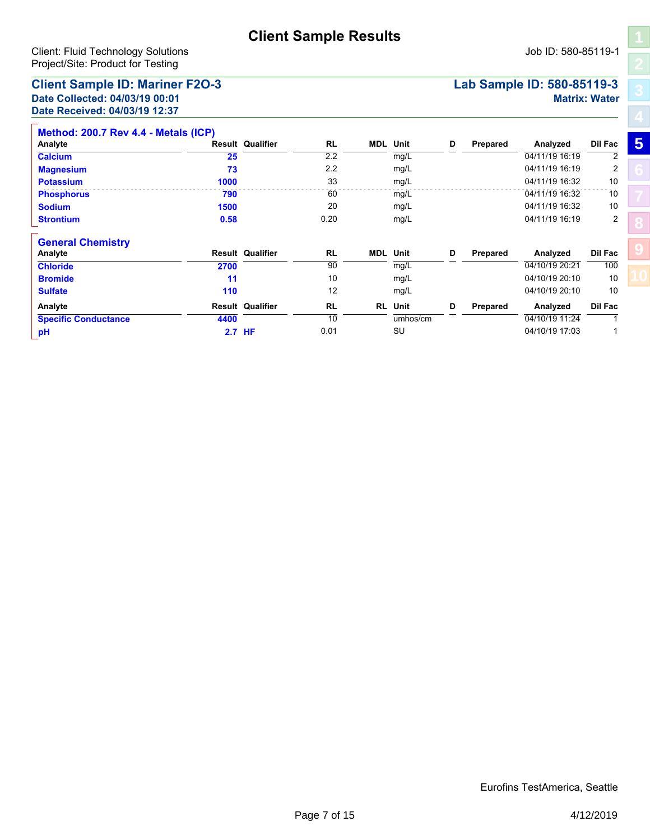### **Client Sample ID: Mariner F2O-3 Lab Sample ID: 580-85119-3 Date Collected: 04/03/19 00:01 Matrix: Water Date Received: 04/03/19 12:37**

|  | Job ID: 580-85119- |  |
|--|--------------------|--|

| Method: 200.7 Rev 4.4 - Metals (ICP) |      |                         |           |            |          |   |          |                |                |   |
|--------------------------------------|------|-------------------------|-----------|------------|----------|---|----------|----------------|----------------|---|
| Analyte                              |      | <b>Result Qualifier</b> | <b>RL</b> | MDL        | Unit     | D | Prepared | Analyzed       | Dil Fac        | 5 |
| <b>Calcium</b>                       | 25   |                         | 2.2       |            | mg/L     |   |          | 04/11/19 16:19 | 2              |   |
| <b>Magnesium</b>                     | 73   |                         | 2.2       |            | mg/L     |   |          | 04/11/19 16:19 | 2              |   |
| <b>Potassium</b>                     | 1000 |                         | 33        |            | mg/L     |   |          | 04/11/19 16:32 | 10             |   |
| <b>Phosphorus</b>                    | 790  |                         | 60        |            | mg/L     |   |          | 04/11/19 16:32 | 10             |   |
| <b>Sodium</b>                        | 1500 |                         | 20        |            | mg/L     |   |          | 04/11/19 16:32 | 10             |   |
| <b>Strontium</b>                     | 0.58 |                         | 0.20      |            | mg/L     |   |          | 04/11/19 16:19 | 2              |   |
| <b>General Chemistry</b>             |      |                         |           |            |          |   |          |                |                |   |
| Analyte                              |      | <b>Result Qualifier</b> | <b>RL</b> | <b>MDL</b> | Unit     | D | Prepared | Analyzed       | Dil Fac        |   |
| <b>Chloride</b>                      | 2700 |                         | 90        |            | mg/L     |   |          | 04/10/19 20:21 | 100            |   |
| <b>Bromide</b>                       | 11   |                         | 10        |            | mg/L     |   |          | 04/10/19 20:10 | 10             |   |
| <b>Sulfate</b>                       | 110  |                         | 12        |            | mg/L     |   |          | 04/10/19 20:10 | 10             |   |
| Analyte                              |      | <b>Result Qualifier</b> | <b>RL</b> | RL         | Unit     | D | Prepared | Analyzed       | <b>Dil Fac</b> |   |
| <b>Specific Conductance</b>          | 4400 |                         | 10        |            | umhos/cm |   |          | 04/10/19 11:24 |                |   |
| pH                                   |      | 2.7 HF                  | 0.01      |            | SU       |   |          | 04/10/19 17:03 |                |   |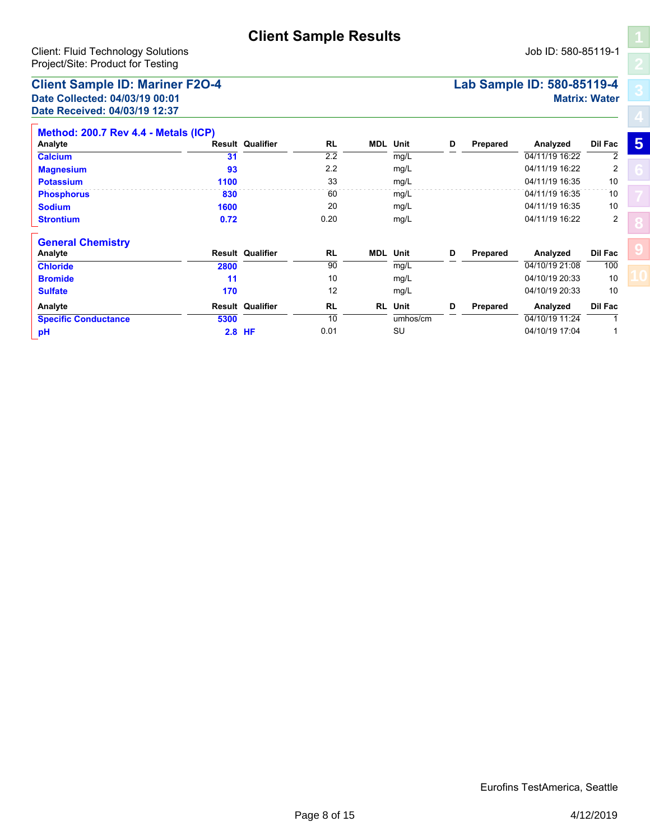**Calcium 31** 2.2 mg/L 04/11/19 16:22 2

**Magnesium 93** 2.2 mg/L 04/11/19 16:22 2 **Potassium 1100** 33 mg/L 04/11/19 16:35 10 **Phosphorus 830** 60 mg/L 04/11/19 16:35 10 **Sodium 1600** 20 mg/L 04/11/19 16:35 10 **Strontium 0.72** 0.20 mg/L 04/11/19 16:22 2

**Chloride 2800** 90 mg/L 04/10/19 21:08 100 **Analyte Result Qualifier Unit D Prepared Analyzed Dil Fac**

**Bromide 11** 10 mg/L 04/10/19 20:33 10 **Sulfate 170** 12 mg/L 04/10/19 20:33 10

**RL MDL**

**RL MDL**

**Analyte Result Qualifier Unit D Prepared Analyzed Dil Fac**

### **Client Sample ID: Mariner F2O-4 Lab Sample ID: 580-85119-4 Date Collected: 04/03/19 00:01 Matrix: Water Date Received: 04/03/19 12:37**

**Method: 200.7 Rev 4.4 - Metals (ICP)**

**General Chemistry**

# **RL RL Specific Conductance 5300 5300** 10 umhos/cm  $\frac{1}{\text{umhos/cm}}$  10 **11:24** 11:24 1 **Analyte Result Qualifier Unit D Prepared Analyzed Dil Fac pH 2.8 HF** 0.01 SU 04/10/19 17:04 1

**[5](#page-4-0) [8](#page-12-0)**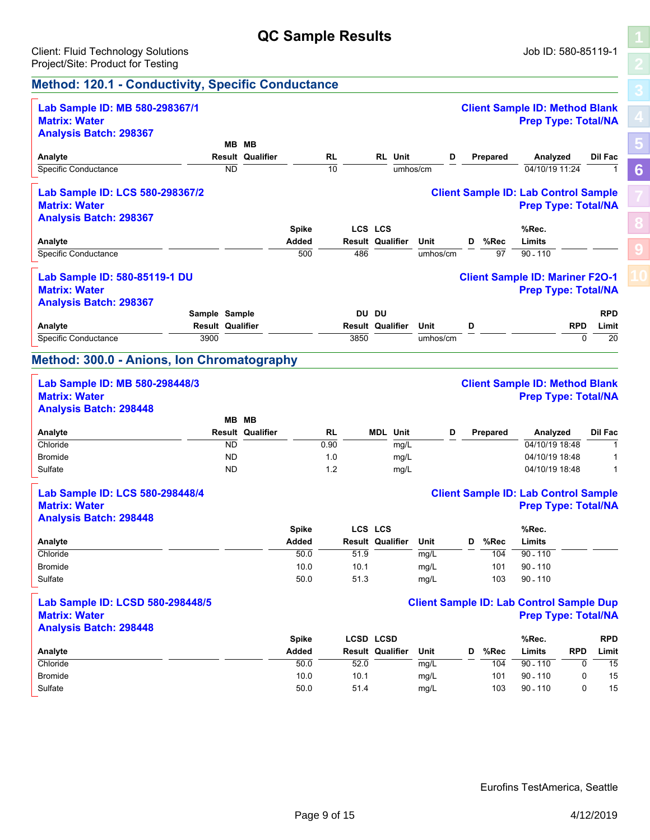# **QC Sample Results**

## <span id="page-8-0"></span>**Method: 120.1 - Conductivity, Specific Conductance**

| Lab Sample ID: MB 580-298367/1                    |                         |                         |                       |                 |      |                                    |          |   |          | <b>Client Sample ID: Method Blank</b>           |            |                |
|---------------------------------------------------|-------------------------|-------------------------|-----------------------|-----------------|------|------------------------------------|----------|---|----------|-------------------------------------------------|------------|----------------|
| <b>Matrix: Water</b>                              |                         |                         |                       |                 |      |                                    |          |   |          | <b>Prep Type: Total/NA</b>                      |            |                |
| <b>Analysis Batch: 298367</b>                     |                         |                         |                       |                 |      |                                    |          |   |          |                                                 |            |                |
|                                                   |                         | MB MB                   |                       |                 |      |                                    |          |   |          |                                                 |            |                |
| Analyte                                           |                         | <b>Result Qualifier</b> |                       | RL              |      | <b>RL</b> Unit                     | D        |   | Prepared | Analyzed                                        |            | <b>Dil Fac</b> |
| Specific Conductance                              | ND                      |                         |                       | $\overline{10}$ |      |                                    | umhos/cm |   |          | 04/10/19 11:24                                  |            | $\overline{1}$ |
| Lab Sample ID: LCS 580-298367/2                   |                         |                         |                       |                 |      |                                    |          |   |          | <b>Client Sample ID: Lab Control Sample</b>     |            |                |
| <b>Matrix: Water</b>                              |                         |                         |                       |                 |      |                                    |          |   |          | <b>Prep Type: Total/NA</b>                      |            |                |
| <b>Analysis Batch: 298367</b>                     |                         |                         |                       |                 |      |                                    |          |   |          |                                                 |            |                |
|                                                   |                         |                         | <b>Spike</b>          |                 |      | LCS LCS                            |          |   |          | %Rec.                                           |            |                |
| Analyte                                           |                         |                         | Added                 |                 |      | <b>Result Qualifier</b>            | Unit     | D | %Rec     | Limits                                          |            |                |
| <b>Specific Conductance</b>                       |                         |                         | 500                   |                 | 486  |                                    | umhos/cm |   | 97       | $90 - 110$                                      |            |                |
|                                                   |                         |                         |                       |                 |      |                                    |          |   |          |                                                 |            |                |
| Lab Sample ID: 580-85119-1 DU                     |                         |                         |                       |                 |      |                                    |          |   |          | <b>Client Sample ID: Mariner F2O-1</b>          |            |                |
| <b>Matrix: Water</b>                              |                         |                         |                       |                 |      |                                    |          |   |          | <b>Prep Type: Total/NA</b>                      |            |                |
| <b>Analysis Batch: 298367</b>                     |                         |                         |                       |                 |      |                                    |          |   |          |                                                 |            |                |
|                                                   | Sample Sample           |                         |                       |                 |      | DU DU                              |          |   |          |                                                 |            | <b>RPD</b>     |
| Analyte                                           | <b>Result Qualifier</b> |                         |                       |                 |      | <b>Result Qualifier</b>            | Unit     | D |          |                                                 | <b>RPD</b> | Limit          |
| Specific Conductance                              | 3900                    |                         |                       |                 | 3850 |                                    | umhos/cm |   |          |                                                 | $\Omega$   | 20             |
| <b>Method: 300.0 - Anions, Ion Chromatography</b> |                         |                         |                       |                 |      |                                    |          |   |          |                                                 |            |                |
|                                                   |                         |                         |                       |                 |      |                                    |          |   |          |                                                 |            |                |
| Lab Sample ID: MB 580-298448/3                    |                         |                         |                       |                 |      |                                    |          |   |          | <b>Client Sample ID: Method Blank</b>           |            |                |
| <b>Matrix: Water</b>                              |                         |                         |                       |                 |      |                                    |          |   |          | <b>Prep Type: Total/NA</b>                      |            |                |
| <b>Analysis Batch: 298448</b>                     |                         |                         |                       |                 |      |                                    |          |   |          |                                                 |            |                |
|                                                   |                         | MB MB                   |                       |                 |      |                                    |          |   |          |                                                 |            |                |
| Analyte                                           |                         | <b>Result Qualifier</b> |                       | RL              |      | <b>MDL</b> Unit                    | D        |   | Prepared | Analyzed                                        |            | Dil Fac        |
| Chloride                                          | $\overline{ND}$         |                         |                       | 0.90            |      | mg/L                               |          |   |          | 04/10/19 18:48                                  |            | $\overline{1}$ |
| Bromide                                           | ND                      |                         |                       | 1.0             |      | mg/L                               |          |   |          | 04/10/19 18:48                                  |            | $\mathbf{1}$   |
| Sulfate                                           | <b>ND</b>               |                         |                       | 1.2             |      | mg/L                               |          |   |          | 04/10/19 18:48                                  |            | $\mathbf{1}$   |
|                                                   |                         |                         |                       |                 |      |                                    |          |   |          |                                                 |            |                |
| Lab Sample ID: LCS 580-298448/4                   |                         |                         |                       |                 |      |                                    |          |   |          | <b>Client Sample ID: Lab Control Sample</b>     |            |                |
| <b>Matrix: Water</b>                              |                         |                         |                       |                 |      |                                    |          |   |          | <b>Prep Type: Total/NA</b>                      |            |                |
| <b>Analysis Batch: 298448</b>                     |                         |                         |                       |                 |      |                                    |          |   |          |                                                 |            |                |
| Analyte                                           |                         |                         | <b>Spike</b><br>Added |                 |      | LCS LCS<br><b>Result Qualifier</b> | Unit     | D | %Rec     | %Rec.<br>Limits                                 |            |                |
| Chloride                                          |                         |                         | 50.0                  |                 | 51.9 |                                    | mg/L     |   | 104      | $90 - 110$                                      |            |                |
| <b>Bromide</b>                                    |                         |                         | 10.0                  |                 | 10.1 |                                    | mg/L     |   | 101      | $90 - 110$                                      |            |                |
| Sulfate                                           |                         |                         | 50.0                  |                 | 51.3 |                                    |          |   |          | $90 - 110$                                      |            |                |
|                                                   |                         |                         |                       |                 |      |                                    | mg/L     |   | 103      |                                                 |            |                |
| Lab Sample ID: LCSD 580-298448/5                  |                         |                         |                       |                 |      |                                    |          |   |          | <b>Client Sample ID: Lab Control Sample Dup</b> |            |                |
| <b>Matrix: Water</b>                              |                         |                         |                       |                 |      |                                    |          |   |          | <b>Prep Type: Total/NA</b>                      |            |                |
| <b>Analysis Batch: 298448</b>                     |                         |                         |                       |                 |      |                                    |          |   |          |                                                 |            |                |
|                                                   |                         |                         | <b>Spike</b>          |                 |      | <b>LCSD LCSD</b>                   |          |   |          | %Rec.                                           |            | <b>RPD</b>     |
| Analyte                                           |                         |                         | Added                 |                 |      | <b>Result Qualifier</b>            | Unit     | D | %Rec     | Limits                                          | <b>RPD</b> | Limit          |
| Chloride                                          |                         |                         | $\overline{50.0}$     |                 | 52.0 |                                    | mg/L     |   | 104      | $90 - 110$                                      | 0          | 15             |
| <b>Bromide</b>                                    |                         |                         | 10.0                  |                 | 10.1 |                                    | mg/L     |   | 101      | $90 - 110$                                      | 0          | 15             |

**[6](#page-8-0)**

**[8](#page-12-0)**

**[9](#page-13-0)**

Sulfate 50.0 51.4 mg/L 103 90 - 110 0 15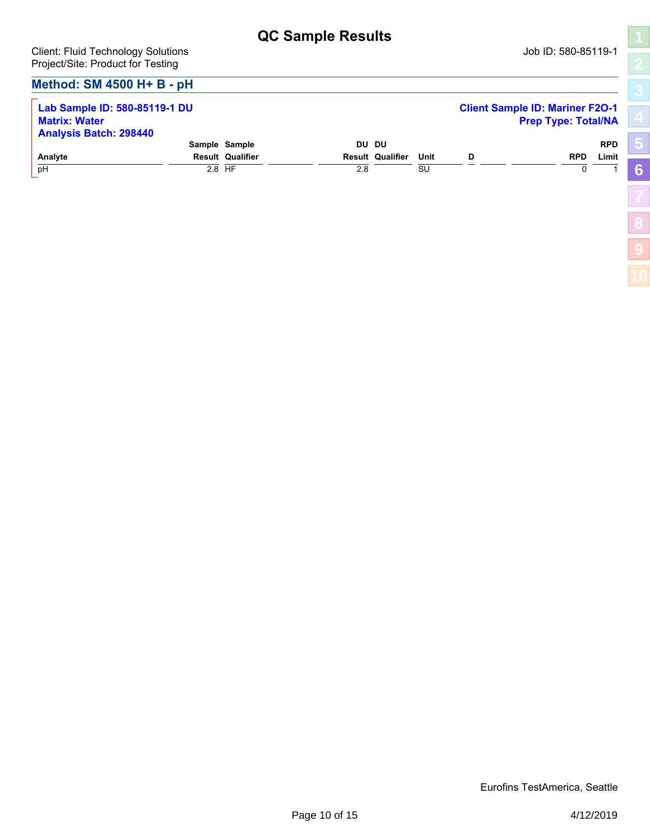**[5](#page-4-0)**

**[6](#page-8-0)**

**[8](#page-12-0)**

**[9](#page-13-0)**

## **Method: SM 4500 H+ B - pH**

| Lab Sample ID: 580-85119-1 DU<br><b>Matrix: Water</b><br><b>Analysis Batch: 298440</b> |                         |     |                         |      |   | <b>Client Sample ID: Mariner F2O-1</b><br><b>Prep Type: Total/NA</b> |            |
|----------------------------------------------------------------------------------------|-------------------------|-----|-------------------------|------|---|----------------------------------------------------------------------|------------|
|                                                                                        | Sample Sample           |     | DU DU                   |      |   |                                                                      | <b>RPD</b> |
| Analyte                                                                                | <b>Result Qualifier</b> |     | <b>Result Qualifier</b> | Unit | D | <b>RPD</b>                                                           | Limit      |
| pH                                                                                     | 2.8 HF                  | 2.8 |                         | SU   |   |                                                                      |            |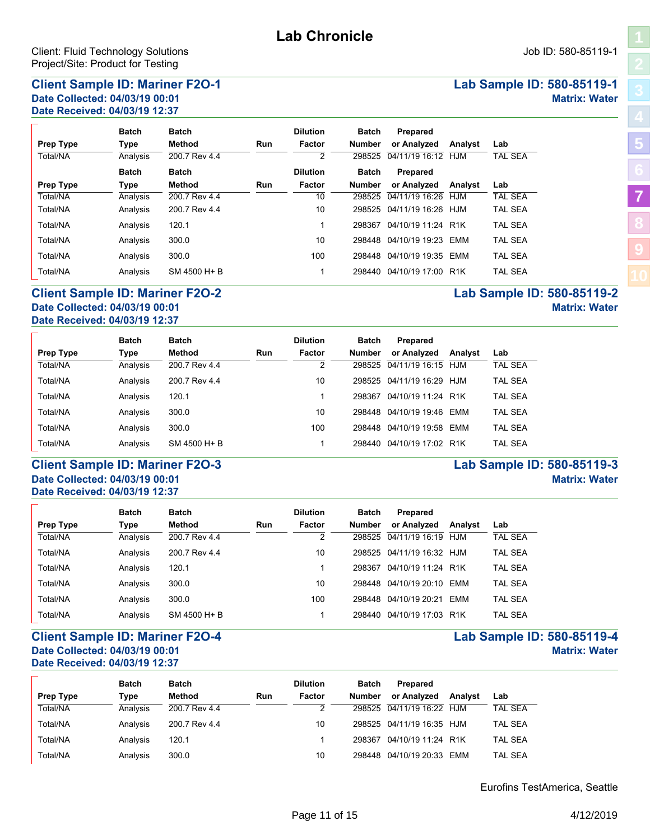## <span id="page-10-0"></span>**Client Sample ID: Mariner F2O-1 Lab Sample ID: 580-85119-1 Date Collected: 04/03/19 00:01 Matrix: Water Date Received: 04/03/19 12:37**

**Batch Batch**

|     | <b>Dilution</b> | Batch | Prepared           |  |
|-----|-----------------|-------|--------------------|--|
| Run | Factor          |       | Number or Analyzed |  |

| Prep Type | Type         | Method        | <b>Run</b> | Factor          | <b>Number</b> | or Analyzed           | Analyst | Lab            |
|-----------|--------------|---------------|------------|-----------------|---------------|-----------------------|---------|----------------|
| Total/NA  | Analysis     | 200.7 Rev 4.4 |            | 2               | 298525        | 04/11/19 16:12        | HJM     | <b>TAL SEA</b> |
|           | <b>Batch</b> | <b>Batch</b>  |            | <b>Dilution</b> | Batch         | Prepared              |         |                |
| Prep Type | Type         | Method        | <b>Run</b> | Factor          | <b>Number</b> | or Analyzed           | Analyst | Lab            |
| Total/NA  | Analysis     | 200.7 Rev 4.4 |            | 10              | 298525        | 04/11/19 16:26        | HJM     | <b>TAL SEA</b> |
| Total/NA  | Analysis     | 200.7 Rev 4.4 |            | 10              | 298525        | 04/11/19 16:26 HJM    |         | TAL SEA        |
| Total/NA  | Analysis     | 120.1         |            |                 | 298367        | 04/10/19 11:24 R1K    |         | <b>TAL SEA</b> |
| Total/NA  | Analysis     | 300.0         |            | 10              | 298448        | 04/10/19 19:23        | FMM     | <b>TAL SEA</b> |
| Total/NA  | Analysis     | 300.0         |            | 100             | 298448        | 04/10/19 19:35        | EMM     | <b>TAL SEA</b> |
| Total/NA  | Analysis     | SM 4500 H + B |            |                 |               | 298440 04/10/19 17:00 | R1K     | TAL SEA        |

#### **Client Sample ID: Mariner F2O-2 Lab Sample ID: 580-85119-2 Date Collected: 04/03/19 00:01 Matrix: Water Date Received: 04/03/19 12:37**

|                  | <b>Batch</b> | <b>Batch</b>  |     | <b>Dilution</b> | Batch         | Prepared              |         |                |
|------------------|--------------|---------------|-----|-----------------|---------------|-----------------------|---------|----------------|
| <b>Prep Type</b> | Type         | Method        | Run | Factor          | <b>Number</b> | or Analyzed           | Analyst | Lab            |
| Total/NA         | Analysis     | 200.7 Rev 4.4 |     |                 | 298525        | 04/11/19 16:15        | HJM     | TAL SEA        |
| Total/NA         | Analysis     | 200.7 Rev 4.4 |     | 10              | 298525        | $04/11/19$ 16:29 H.IM |         | TAL SEA        |
| Total/NA         | Analysis     | 120.1         |     |                 | 298367        | 04/10/19 11:24 R1K    |         | TAL SEA        |
| Total/NA         | Analysis     | 300.0         |     | 10              | 298448        | 04/10/19 19:46 EMM    |         | TAL SEA        |
| Total/NA         | Analysis     | 300.0         |     | 100             | 298448        | 04/10/19 19:58 EMM    |         | TAL SEA        |
| Total/NA         | Analysis     | SM 4500 H + B |     |                 | 298440        | 04/10/19 17:02 R1K    |         | <b>TAL SEA</b> |

### **Client Sample ID: Mariner F2O-3 Lab Sample ID: 580-85119 Date Collected: 04/03/19 00:01 Date Received: 04/03/19 12:37**

| Lab Sample ID: 580-85119-3 |                      |  |
|----------------------------|----------------------|--|
|                            | <b>Matrix: Water</b> |  |

|                  | <b>Batch</b> | <b>Batch</b>  |            | <b>Dilution</b> | <b>Batch</b>  | Prepared           |         |                |
|------------------|--------------|---------------|------------|-----------------|---------------|--------------------|---------|----------------|
| <b>Prep Type</b> | <b>Type</b>  | Method        | <b>Run</b> | Factor          | <b>Number</b> | or Analyzed        | Analyst | Lab            |
| Total/NA         | Analysis     | 200.7 Rev 4.4 |            | 2               | 298525        | 04/11/19 16:19     | H.IM    | TAL SEA        |
| Total/NA         | Analysis     | 200.7 Rev 4.4 |            | 10              | 298525        | 04/11/19 16:32 HJM |         | <b>TAL SEA</b> |
| Total/NA         | Analysis     | 120.1         |            |                 | 298367        | 04/10/19 11:24 R1K |         | <b>TAL SEA</b> |
| Total/NA         | Analysis     | 300.0         |            | 10              | 298448        | 04/10/19 20:10     | FMM     | <b>TAL SEA</b> |
| Total/NA         | Analysis     | 300.0         |            | 100             | 298448        | 04/10/19 20:21     | FMM     | <b>TAL SEA</b> |
| Total/NA         | Analysis     | SM 4500 H + B |            |                 | 298440        | 04/10/19 17:03     | R1K     | TAL SEA        |

### **Client Sample ID: Mariner F2O-4 Lab Sample ID: 580-85119-4 Date Collected: 04/03/19 00:01 Matrix: Water Date Received: 04/03/19 12:37**

|           | <b>Batch</b> | <b>Batch</b>  |     | <b>Dilution</b> | <b>Batch</b>  | Prepared                  |         |                |
|-----------|--------------|---------------|-----|-----------------|---------------|---------------------------|---------|----------------|
| Prep Type | Type         | Method        | Run | Factor          | <b>Number</b> | or Analyzed               | Analyst | Lab            |
| Total/NA  | Analysis     | 200.7 Rev 4.4 |     |                 |               | 298525 04/11/19 16:22 HJM |         | <b>TAL SEA</b> |
| Total/NA  | Analysis     | 200.7 Rev 4.4 |     | 10              |               | 298525 04/11/19 16:35 HJM |         | TAL SEA        |
| Total/NA  | Analysis     | 120.1         |     |                 | 298367        | 04/10/19 11:24 R1K        |         | <b>TAL SEA</b> |
| Total/NA  | Analysis     | 300.0         |     | 10              | 298448        | 04/10/19 20:33 EMM        |         | <b>TAL SEA</b> |

Eurofins TestAmerica, Seattle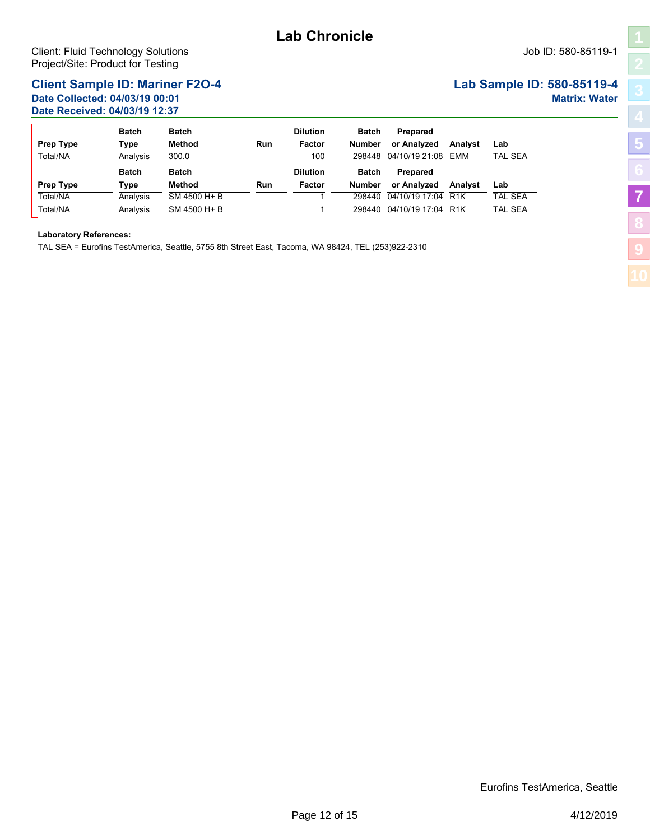## **Client Sample ID: Mariner F2O-4 Lab Sample ID: 580-85119-4 Date Collected: 04/03/19 00:01 Matrix: Water Date Received: 04/03/19 12:37**

|                  | <b>Batch</b> | <b>Batch</b>  |            | <b>Dilution</b> | <b>Batch</b>  | Prepared           |         |                |
|------------------|--------------|---------------|------------|-----------------|---------------|--------------------|---------|----------------|
| <b>Prep Type</b> | Type         | Method        | <b>Run</b> | Factor          | <b>Number</b> | or Analyzed        | Analyst | Lab            |
| Total/NA         | Analysis     | 300.0         |            | 100             | 298448        | 04/10/19 21:08     | FMM     | <b>TAL SEA</b> |
|                  | <b>Batch</b> | <b>Batch</b>  |            | <b>Dilution</b> | <b>Batch</b>  | <b>Prepared</b>    |         |                |
| <b>Prep Type</b> | Type         | Method        | <b>Run</b> | Factor          | <b>Number</b> | or Analyzed        | Analyst | Lab            |
| Total/NA         | Analysis     | SM 4500 H + B |            |                 | 298440        | 04/10/19 17:04 R1K |         | <b>TAL SEA</b> |
| Total/NA         | Analysis     | SM 4500 H + B |            |                 | 298440        | 04/10/19 17:04 R1K |         | <b>TAL SEA</b> |

#### **Laboratory References:**

TAL SEA = Eurofins TestAmerica, Seattle, 5755 8th Street East, Tacoma, WA 98424, TEL (253)922-2310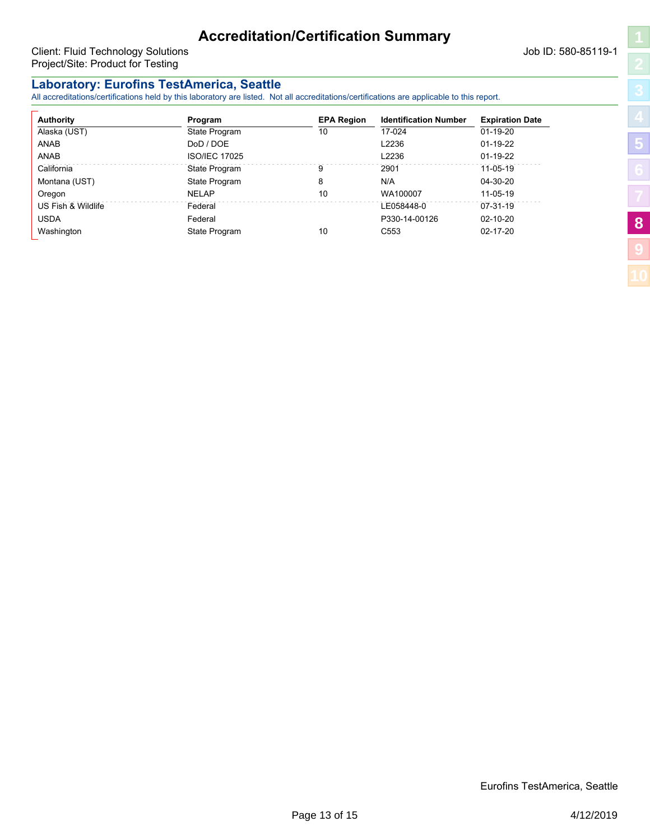<span id="page-12-0"></span>Client: Fluid Technology Solutions and The Client: Fluid Technology Solutions and The Client: Fluid Technology Solutions and The Client: 580-85119-1 Project/Site: Product for Testing

**[5](#page-4-0)**

**[8](#page-12-0)**

**[9](#page-13-0)**

# **Laboratory: Eurofins TestAmerica, Seattle**

All accreditations/certifications held by this laboratory are listed. Not all accreditations/certifications are applicable to this report.

| <b>Authority</b>   | Program              | <b>EPA Region</b> | <b>Identification Number</b> | <b>Expiration Date</b> |
|--------------------|----------------------|-------------------|------------------------------|------------------------|
| Alaska (UST)       | State Program        | 10                | 17-024                       | $01 - 19 - 20$         |
| ANAB               | DoD / DOE            |                   | L2236                        | $01-19-22$             |
| <b>ANAB</b>        | <b>ISO/IEC 17025</b> |                   | L2236                        | $01-19-22$             |
| California         | State Program        | 9                 | 2901                         | $11 - 05 - 19$         |
| Montana (UST)      | State Program        | 8                 | N/A                          | 04-30-20               |
| Oregon             | <b>NELAP</b>         | 10                | WA100007                     | $11 - 05 - 19$         |
| US Fish & Wildlife | Federal              |                   | LE058448-0                   | $07-31-19$             |
| <b>USDA</b>        | Federal              |                   | P330-14-00126                | $02 - 10 - 20$         |
| Washington         | State Program        | 10                | C <sub>553</sub>             | 02-17-20               |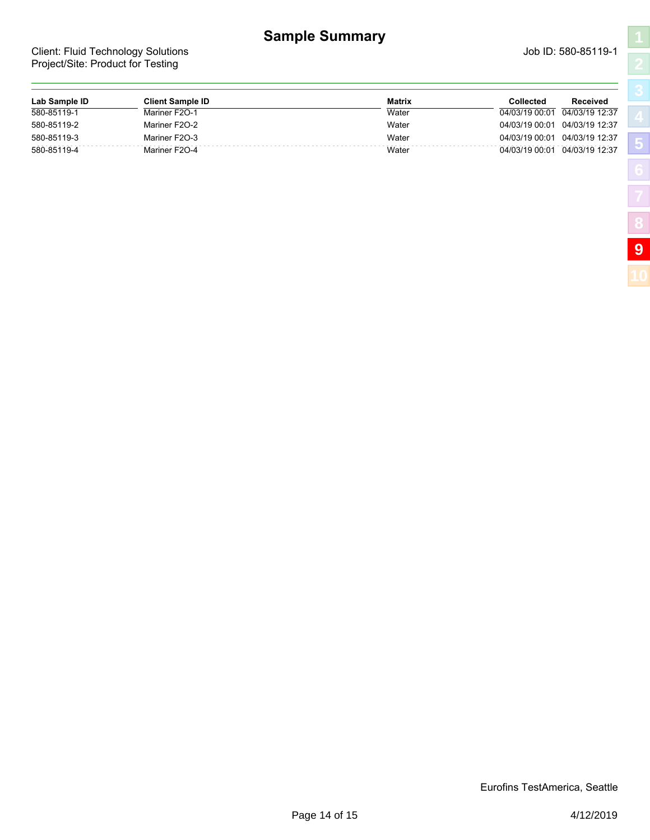# **Sample Summary**

<span id="page-13-0"></span>Client: Fluid Technology Solutions and Client: Fluid Technology Solutions and Client: Fluid Technology Solutions Project/Site: Product for Testing

**[5](#page-4-0)**

**[8](#page-12-0)**

| Lab Sample ID | <b>Client Sample ID</b> | <b>Matrix</b> | Collected<br>Received            |  |
|---------------|-------------------------|---------------|----------------------------------|--|
| 580-85119-1   | Mariner F2O-1           | Water         | 04/03/19 00:01<br>04/03/19 12:37 |  |
| 580-85119-2   | Mariner F2O-2           | Water         | 04/03/19 00:01<br>04/03/19 12:37 |  |
| 580-85119-3   | Mariner F2O-3           | Water         | 04/03/19 00:01<br>04/03/19 12:37 |  |
| 580-85119-4   | Mariner F2O-4           | Water         | 04/03/19 00:01<br>04/03/19 12:37 |  |